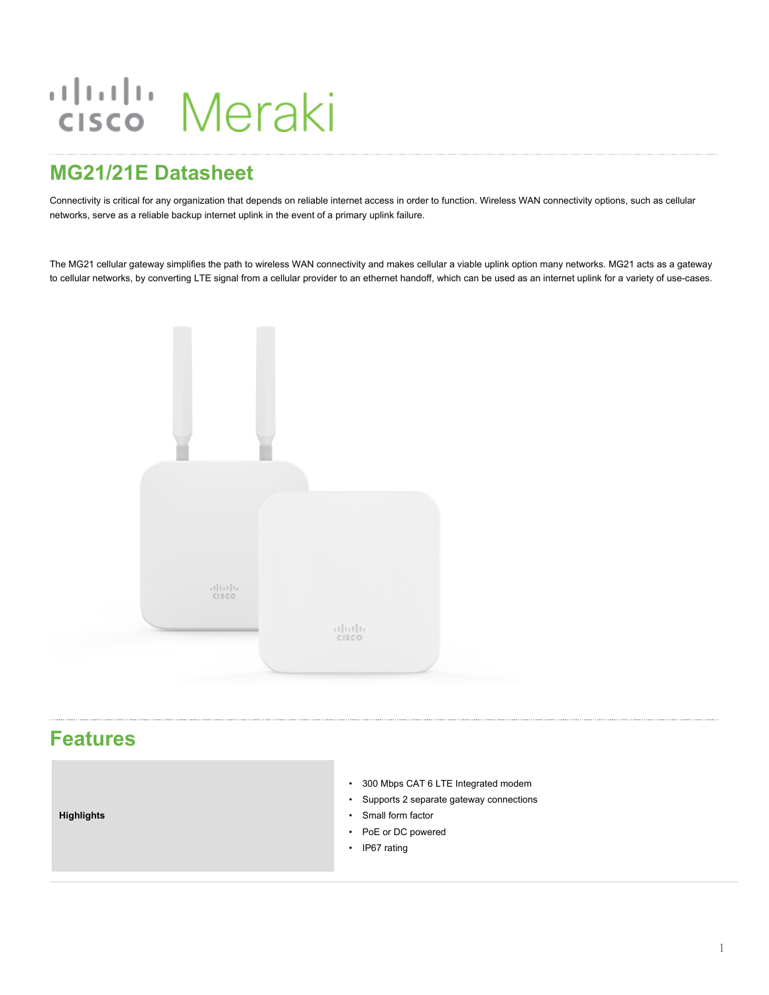# aludu Meraki

# **MG21/21E Datasheet**

Connectivity is critical for any organization that depends on reliable internet access in order to function. Wireless WAN connectivity options, such as cellular networks, serve as a reliable backup internet uplink in the event of a primary uplink failure.

The MG21 cellular gateway simplifies the path to wireless WAN connectivity and makes cellular a viable uplink option many networks. MG21 acts as a gateway to cellular networks, by converting LTE signal from a cellular provider to an ethernet handoff, which can be used as an internet uplink for a variety of use-cases.



## **Features**

**Highlights**

- 300 Mbps CAT 6 LTE Integrated modem
- Supports 2 separate gateway connections
- Small form factor
- PoE or DC powered
- IP67 rating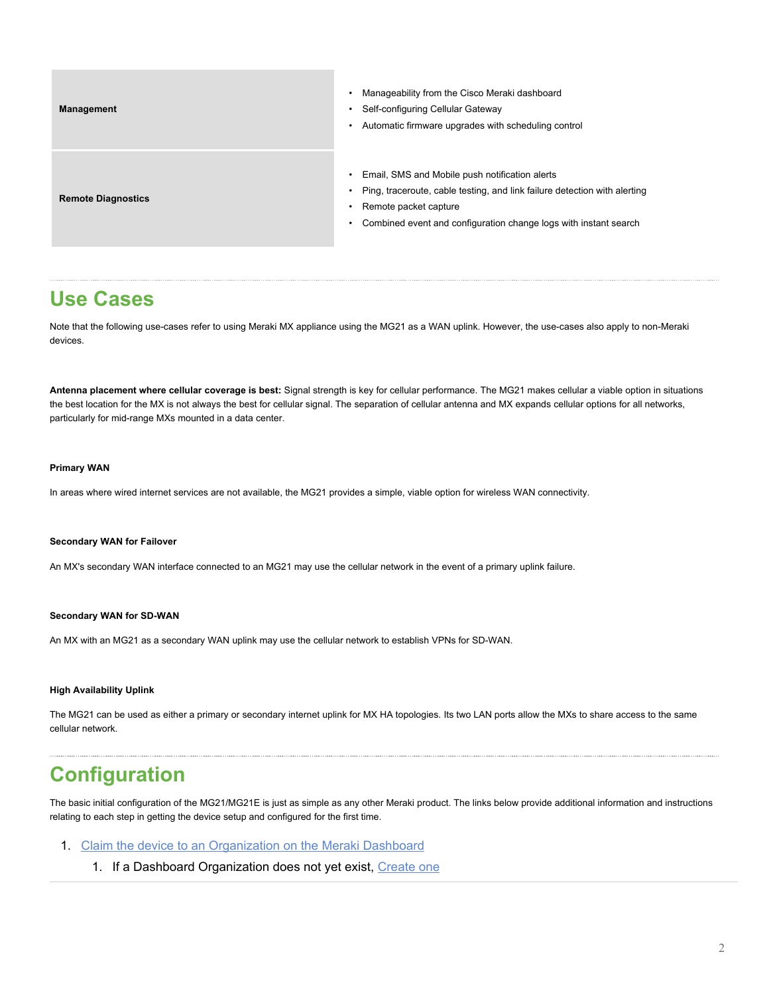| <b>Management</b>         | Manageability from the Cisco Meraki dashboard<br>Self-configuring Cellular Gateway<br>Automatic firmware upgrades with scheduling control                                                                                |
|---------------------------|--------------------------------------------------------------------------------------------------------------------------------------------------------------------------------------------------------------------------|
| <b>Remote Diagnostics</b> | Email, SMS and Mobile push notification alerts<br>Ping, traceroute, cable testing, and link failure detection with alerting<br>Remote packet capture<br>Combined event and configuration change logs with instant search |

## **Use Cases**

Note that the following use-cases refer to using Meraki MX appliance using the MG21 as a WAN uplink. However, the use-cases also apply to non-Meraki devices.

**Antenna placement where cellular coverage is best:** Signal strength is key for cellular performance. The MG21 makes cellular a viable option in situations the best location for the MX is not always the best for cellular signal. The separation of cellular antenna and MX expands cellular options for all networks, particularly for mid-range MXs mounted in a data center.

#### **Primary WAN**

In areas where wired internet services are not available, the MG21 provides a simple, viable option for wireless WAN connectivity.

#### **Secondary WAN for Failover**

An MX's secondary WAN interface connected to an MG21 may use the cellular network in the event of a primary uplink failure.

#### **Secondary WAN for SD-WAN**

An MX with an MG21 as a secondary WAN uplink may use the cellular network to establish VPNs for SD-WAN.

#### **High Availability Uplink**

The MG21 can be used as either a primary or secondary internet uplink for MX HA topologies. Its two LAN ports allow the MXs to share access to the same cellular network.

## **Configuration**

The basic initial configuration of the MG21/MG21E is just as simple as any other Meraki product. The links below provide additional information and instructions relating to each step in getting the device setup and configured for the first time.

- 1. [Claim the device to an Organization on the Meraki Dashboard](https://documentation.meraki.com/zGeneral_Administration/Inventory_and_Devices/Using_the_Organization_Inventory)
	- 1. If a Dashboard Organization does not yet exist, [Create one](https://documentation.meraki.com/zGeneral_Administration/Organizations_and_Networks/Creating_a_Dashboard_Account_and_Organization)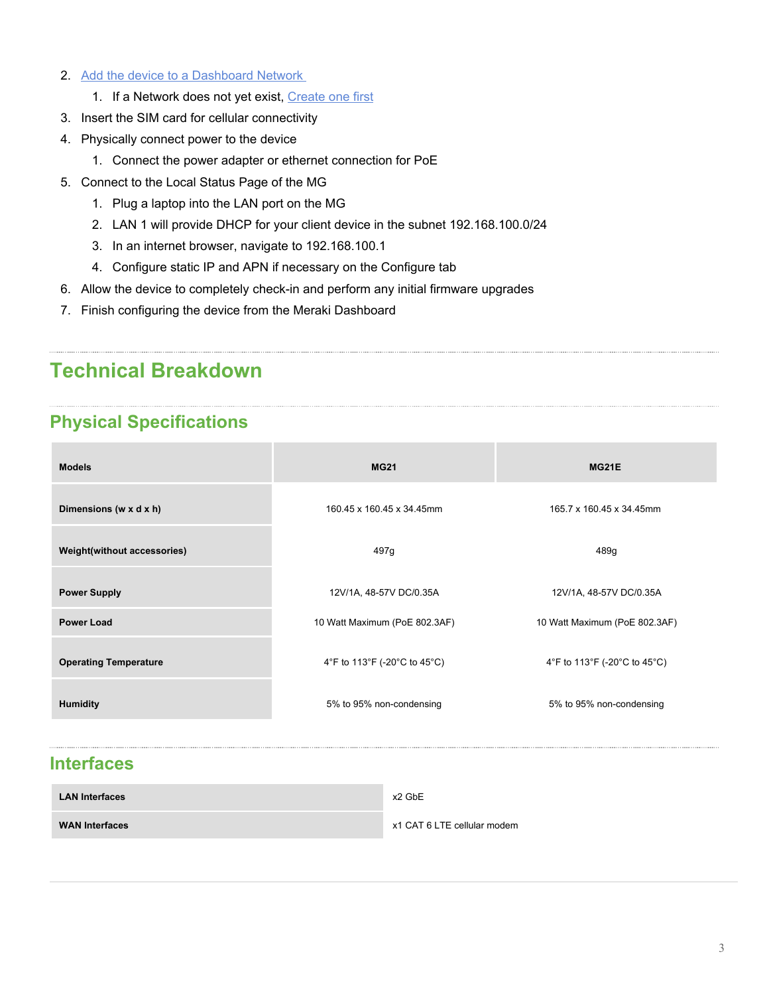- 2. [Add the device to a Dashboard Network](https://documentation.meraki.com/zGeneral_Administration/Inventory_and_Devices/Adding_and_Removing_Devices_from_Dashboard_Networks#Adding_Devices_to_Networks)
	- 1. If a Network does not yet exist, [Create one first](https://documentation.meraki.com/zGeneral_Administration/Organizations_and_Networks/Creating_and_Deleting_Dashboard_Networks#Creating_a_Network)
- 3. Insert the SIM card for cellular connectivity
- 4. Physically connect power to the device
	- 1. Connect the power adapter or ethernet connection for PoE
- 5. Connect to the Local Status Page of the MG
	- 1. Plug a laptop into the LAN port on the MG
	- 2. LAN 1 will provide DHCP for your client device in the subnet 192.168.100.0/24
	- 3. In an internet browser, navigate to 192.168.100.1
	- 4. Configure static IP and APN if necessary on the Configure tab
- 6. Allow the device to completely check-in and perform any initial firmware upgrades
- 7. Finish configuring the device from the Meraki Dashboard

# **Technical Breakdown**

## **Physical Specifications**

| <b>Models</b>                | <b>MG21</b>                   | MG21E                         |
|------------------------------|-------------------------------|-------------------------------|
| Dimensions (w x d x h)       | 160.45 x 160.45 x 34.45mm     | 165.7 x 160.45 x 34.45mm      |
| Weight(without accessories)  | 497g                          | 489g                          |
| <b>Power Supply</b>          | 12V/1A, 48-57V DC/0.35A       | 12V/1A, 48-57V DC/0.35A       |
| <b>Power Load</b>            | 10 Watt Maximum (PoE 802.3AF) | 10 Watt Maximum (PoE 802.3AF) |
| <b>Operating Temperature</b> | 4°F to 113°F (-20°C to 45°C)  | 4°F to 113°F (-20°C to 45°C)  |
| <b>Humidity</b>              | 5% to 95% non-condensing      | 5% to 95% non-condensing      |
|                              |                               |                               |

### **Interfaces**

| <b>LAN Interfaces</b> | x2 GbE                      |
|-----------------------|-----------------------------|
| <b>WAN Interfaces</b> | x1 CAT 6 LTE cellular modem |